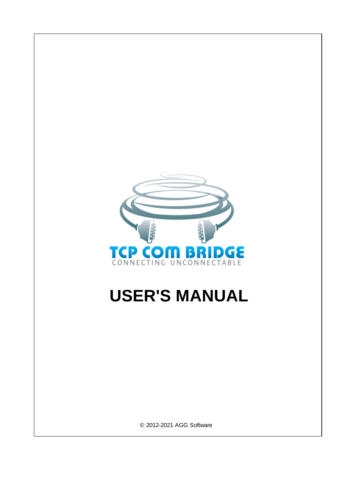

# **USER'S MANUAL**

© 2012-2021 AGG Software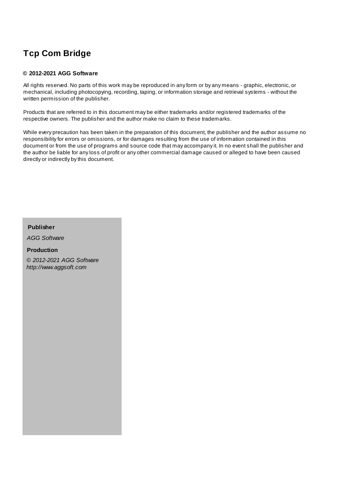## **© 2012-2021 AGG Software**

All rights reserved. No parts of this work may be reproduced in any form or by any means - graphic, electronic, or mechanical, including photocopying, recording, taping, or information storage and retrieval systems - without the written permission of the publisher.

Products that are referred to in this document may be either trademarks and/or registered trademarks of the respective owners. The publisher and the author make no claim to these trademarks.

While every precaution has been taken in the preparation of this document, the publisher and the author assume no responsibility for errors or omissions, or for damages resulting from the use of information contained in this document or from the use of programs and source code that may accompany it. In no event shall the publisher and the author be liable for any loss of profit or any other commercial damage caused or alleged to have been caused directly or indirectly by this document.

**Publisher**

*AGG Software*

**Production**

*© 2012-2021 AGG Software http://www.aggsoft.com*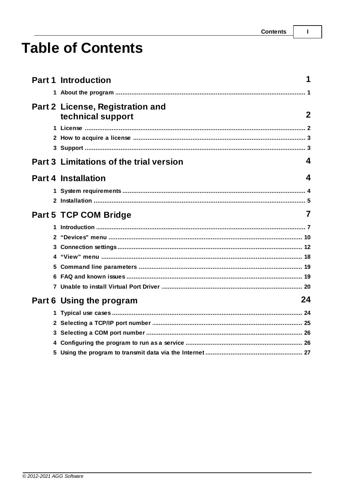$\overline{1}$ 

# **Table of Contents**

|              | <b>Part 1 Introduction</b>                            |             |
|--------------|-------------------------------------------------------|-------------|
|              |                                                       |             |
|              | Part 2 License, Registration and<br>technical support | $\mathbf 2$ |
|              |                                                       |             |
|              |                                                       |             |
|              |                                                       |             |
|              | <b>Part 3 Limitations of the trial version</b>        | 4           |
|              | <b>Part 4 Installation</b>                            | 4           |
|              |                                                       |             |
|              |                                                       |             |
|              | <b>Part 5 TCP COM Bridge</b>                          | 7           |
| 1            |                                                       |             |
| $\mathbf{2}$ |                                                       |             |
|              |                                                       |             |
|              |                                                       |             |
|              |                                                       |             |
|              |                                                       |             |
|              |                                                       |             |
|              | 24<br>Part 6 Using the program                        |             |
|              |                                                       |             |
|              |                                                       |             |
|              |                                                       |             |
|              |                                                       |             |
|              |                                                       |             |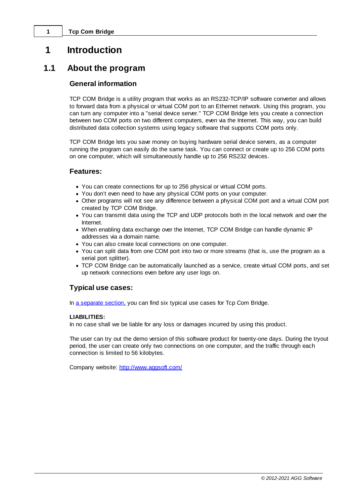# <span id="page-3-0"></span>**1 Introduction**

# **1.1 About the program**

# **General information**

TCP COM Bridge is a utility program that works as an RS232-TCP/IP software converter and allows to forward data from a physical or virtual COM port to an Ethernet network. Using this program, you can turn any computer into a "serial device server." TCP COM Bridge lets you create a connection between two COM ports on two different computers, even via the Internet. This way, you can build distributed data collection systems using legacy software that supports COM ports only.

TCP COM Bridge lets you save money on buying hardware serial device servers, as a computer running the program can easily do the same task. You can connect or create up to 256 COM ports on one computer, which will simultaneously handle up to 256 RS232 devices.

# **Features:**

- · You can create connections for up to 256 physical or virtual COM ports.
- · You don't even need to have any physical COM ports on your computer.
- · Other programs will not see any difference between a physical COM port and a virtual COM port created by TCP COM Bridge.
- · You can transmit data using the TCP and UDP protocols both in the local network and over the Internet.
- · When enabling data exchange over the Internet, TCP COM Bridge can handle dynamic IP addresses via a domain name.
- · You can also create local connections on one computer.
- · You can split data from one COM port into two or more streams (that is, use the program as a serial port splitter).
- · TCP COM Bridge can be automatically launched as a service, create virtual COM ports, and set up network connections even before any user logs on.

# **Typical use cases:**

In a [separate](#page-26-0) section, you can find six typical use cases for Tcp Com Bridge.

## **LIABILITIES:**

In no case shall we be liable for any loss or damages incurred by using this product.

The user can try out the demo version of this software product for twenty-one days. During the tryout period, the user can create only two connections on one computer, and the traffic through each connection is limited to 56 kilobytes.

Company website: [http://www.aggsoft.com/](http://www.aggsoft.com)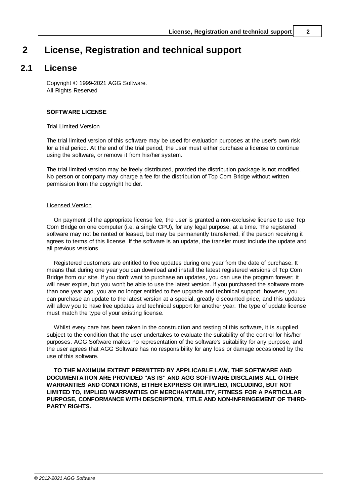# <span id="page-4-0"></span>**2 License, Registration and technical support**

# **2.1 License**

Copyright © 1999-2021 AGG Software. All Rights Reserved

## **SOFTWARE LICENSE**

#### Trial Limited Version

The trial limited version of this software may be used for evaluation purposes at the user's own risk for a trial period. At the end of the trial period, the user must either purchase a license to continue using the software, or remove it from his/her system.

The trial limited version may be freely distributed, provided the distribution package is not modified. No person or company may charge a fee for the distribution of Tcp Com Bridge without written permission from the copyright holder.

### Licensed Version

On payment of the appropriate license fee, the user is granted a non-exclusive license to use Tcp Com Bridge on one computer (i.e. a single CPU), for any legal purpose, at a time. The registered software may not be rented or leased, but may be permanently transferred, if the person receiving it agrees to terms of this license. If the software is an update, the transfer must include the update and all previous versions.

Registered customers are entitled to free updates during one year from the date of purchase. It means that during one year you can download and install the latest registered versions of Tcp Com Bridge from our site. If you don't want to purchase an updates, you can use the program forever; it will never expire, but you won't be able to use the latest version. If you purchased the software more than one year ago, you are no longer entitled to free upgrade and technical support; however, you can purchase an update to the latest version at a special, greatly discounted price, and this updates will allow you to have free updates and technical support for another year. The type of update license must match the type of your existing license.

Whilst every care has been taken in the construction and testing of this software, it is supplied subject to the condition that the user undertakes to evaluate the suitability of the control for his/her purposes. AGG Software makes no representation of the software's suitability for any purpose, and the user agrees that AGG Software has no responsibility for any loss or damage occasioned by the use of this software.

**TO THE MAXIMUM EXTENT PERMITTED BY APPLICABLE LAW, THE SOFTWARE AND DOCUMENTATION ARE PROVIDED "AS IS" AND AGG SOFTWARE DISCLAIMS ALL OTHER WARRANTIES AND CONDITIONS, EITHER EXPRESS OR IMPLIED, INCLUDING, BUT NOT LIMITED TO, IMPLIED WARRANTIES OF MERCHANTABILITY, FITNESS FOR A PARTICULAR PURPOSE, CONFORMANCE WITH DESCRIPTION, TITLE AND NON-INFRINGEMENT OF THIRD-PARTY RIGHTS.**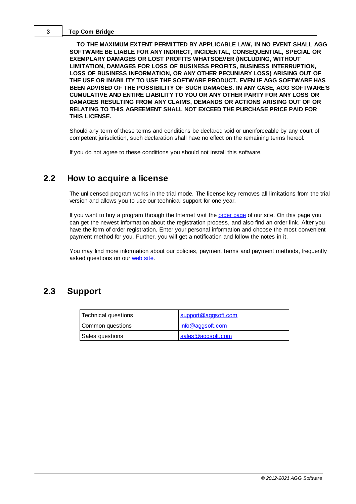**TO THE MAXIMUM EXTENT PERMITTED BY APPLICABLE LAW, IN NO EVENT SHALL AGG SOFTWARE BE LIABLE FOR ANY INDIRECT, INCIDENTAL, CONSEQUENTIAL, SPECIAL OR EXEMPLARY DAMAGES OR LOST PROFITS WHATSOEVER (INCLUDING, WITHOUT LIMITATION, DAMAGES FOR LOSS OF BUSINESS PROFITS, BUSINESS INTERRUPTION, LOSS OF BUSINESS INFORMATION, OR ANY OTHER PECUNIARY LOSS) ARISING OUT OF THE USE OR INABILITY TO USE THE SOFTWARE PRODUCT, EVEN IF AGG SOFTWARE HAS BEEN ADVISED OF THE POSSIBILITY OF SUCH DAMAGES. IN ANY CASE, AGG SOFTWARE'S CUMULATIVE AND ENTIRE LIABILITY TO YOU OR ANY OTHER PARTY FOR ANY LOSS OR DAMAGES RESULTING FROM ANY CLAIMS, DEMANDS OR ACTIONS ARISING OUT OF OR RELATING TO THIS AGREEMENT SHALL NOT EXCEED THE PURCHASE PRICE PAID FOR THIS LICENSE.**

Should any term of these terms and conditions be declared void or unenforceable by any court of competent jurisdiction, such declaration shall have no effect on the remaining terms hereof.

If you do not agree to these conditions you should not install this software.

# <span id="page-5-0"></span>**2.2 How to acquire a license**

The unlicensed program works in the trial mode. The license key removes all limitations from the trial version and allows you to use our technical support for one year.

If you want to buy a program through the Internet visit the [order](https://www.aggsoft.com/tcp-com/buy.htm) page of our site. On this page you can get the newest information about the registration process, and also find an order link. After you have the form of order registration. Enter your personal information and choose the most convenient payment method for you. Further, you will get a notification and follow the notes in it.

You may find more information about our policies, payment terms and payment methods, frequently asked questions on our [web](https://www.aggsoft.com/tcp-com/buy.htm) site.

# <span id="page-5-1"></span>**2.3 Support**

| Technical questions | support@aggsoft.com |
|---------------------|---------------------|
| Common questions    | info@aggsoft.com    |
| Sales questions     | sales@aggsoft.com   |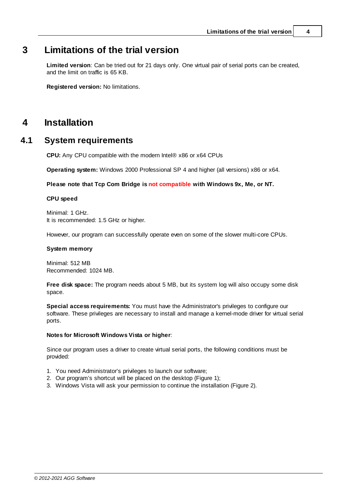# <span id="page-6-0"></span>**3 Limitations of the trial version**

**Limited version**: Can be tried out for 21 days only. One virtual pair of serial ports can be created, and the limit on traffic is 65 KB.

**Registered version:** No limitations.

# <span id="page-6-1"></span>**4 Installation**

# **4.1 System requirements**

**CPU:** Any CPU compatible with the modern Intel® x86 or x64 CPUs

**Operating system:** Windows 2000 Professional SP 4 and higher (all versions) x86 or x64.

## **Please note that Tcp Com Bridge is not compatible with Windows 9x, Me, or NT.**

## **CPU speed**

Minimal: 1 GHz. It is recommended: 1.5 GHz or higher.

However, our program can successfully operate even on some of the slower multi-core CPUs.

## **System memory**

Minimal: 512 MB Recommended: 1024 MB.

**Free disk space:** The program needs about 5 MB, but its system log will also occupy some disk space.

**Special access requirements:** You must have the Administrator's privileges to configure our software. These privileges are necessary to install and manage a kernel-mode driver for virtual serial ports.

## **Notes for Microsoft Windows Vista or higher**:

Since our program uses a driver to create virtual serial ports, the following conditions must be provided:

- 1. You need Administrator's privileges to launch our software;
- 2. Our program's shortcut will be placed on the desktop (Figure 1):
- 3. Windows Vista will ask your permission to continue the installation (Figure 2).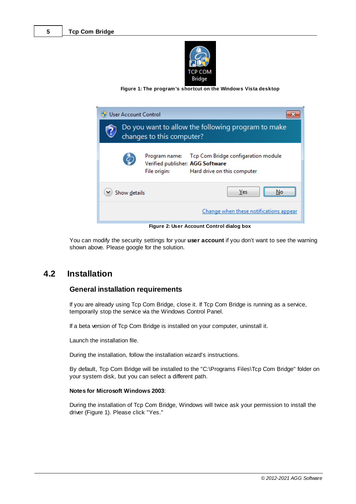

**Figure 1: The program's shortcut on the Windows Vista desktop**

| <b>User Account Control</b>                                                     |                                                                                                        |  |  |  |
|---------------------------------------------------------------------------------|--------------------------------------------------------------------------------------------------------|--|--|--|
| Do you want to allow the following program to make<br>changes to this computer? |                                                                                                        |  |  |  |
| Program name:<br>File origin:                                                   | Tcp Com Bridge configaration module<br>Verified publisher: AGG Software<br>Hard drive on this computer |  |  |  |
| Yes<br>Show details                                                             |                                                                                                        |  |  |  |
| Change when these notifications appear                                          |                                                                                                        |  |  |  |
| Figure 2: User Account Control dialog box                                       |                                                                                                        |  |  |  |

You can modify the security settings for your **user account** if you don't want to see the warning shown above. Please google for the solution.

# <span id="page-7-0"></span>**4.2 Installation**

# **General installation requirements**

If you are already using Tcp Com Bridge, close it. If Tcp Com Bridge is running as a service, temporarily stop the service via the Windows Control Panel.

If a beta version of Tcp Com Bridge is installed on your computer, uninstall it.

Launch the installation file.

During the installation, follow the installation wizard's instructions.

By default, Tcp Com Bridge will be installed to the "C:\Programs Files\Tcp Com Bridge" folder on your system disk, but you can select a different path.

## **Notes for Microsoft Windows 2003**:

During the installation of Tcp Com Bridge, Windows will twice ask your permission to install the driver (Figure 1). Please click "Yes."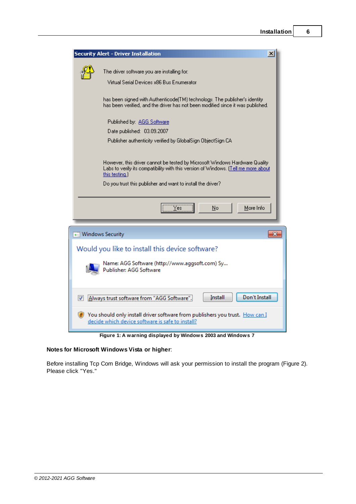|                    | <b>Security Alert - Driver Installation</b>                                                                                                                                          | $\boldsymbol{\mathsf{x}}$ |
|--------------------|--------------------------------------------------------------------------------------------------------------------------------------------------------------------------------------|---------------------------|
|                    | The driver software you are installing for:<br>Virtual Serial Devices x86 Bus Enumerator                                                                                             |                           |
|                    | has been signed with Authenticode(TM) technology. The publisher's identity<br>has been verified, and the driver has not been modified since it was published.                        |                           |
|                    | Published by: AGG Software                                                                                                                                                           |                           |
|                    | Date published: 03.09.2007                                                                                                                                                           |                           |
|                    | Publisher authenticity verified by GlobalSign ObjectSign CA                                                                                                                          |                           |
|                    | However, this driver cannot be tested by Microsoft Windows Hardware Quality.<br>Labs to verify its compatibility with this version of Windows. [Tell me more about<br>this testing.) |                           |
|                    | Do you trust this publisher and want to install the driver?                                                                                                                          |                           |
|                    | $\frac{1}{\sqrt{1}}$ es<br>More Info<br><u>N</u> o                                                                                                                                   |                           |
| → Windows Security |                                                                                                                                                                                      | $-x$                      |
|                    | Would you like to install this device software?                                                                                                                                      |                           |
|                    | Name: AGG Software (http://www.aggsoft.com) Sy<br>Publisher: AGG Software                                                                                                            |                           |
|                    | Always trust software from "AGG Software"<br>Don't Install<br>Install                                                                                                                |                           |
|                    | You should only install driver software from publishers you trust. How can I<br>decide which device software is safe to install?                                                     |                           |
|                    | Figure 1: A warning displayed by Windows 2003 and Windows 7                                                                                                                          |                           |

# **Notes for Microsoft Windows Vista or higher**:

Before installing Tcp Com Bridge, Windows will ask your permission to install the program (Figure 2). Please click "Yes."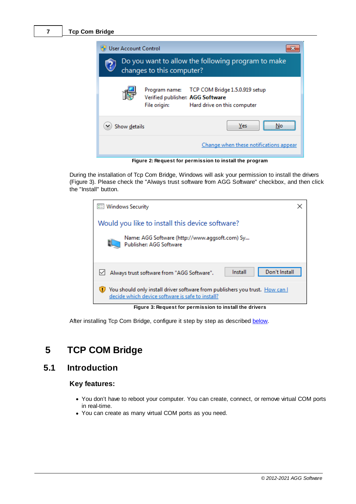

During the installation of Tcp Com Bridge, Windows will ask your permission to install the drivers (Figure 3). Please check the "Always trust software from AGG Software" checkbox, and then click the "Install" button.



**Figure 3: Request for permission to install the drivers**

After installing Tcp Com Bridge, configure it step by step as described [below](#page-9-0).

# <span id="page-9-0"></span>**5 TCP COM Bridge**

# **5.1 Introduction**

# **Key features:**

- · You don't have to reboot your computer. You can create, connect, or remove virtual COM ports in real-time.
- Threat affici-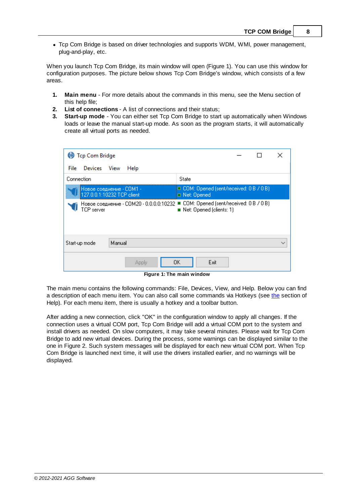· Tcp Com Bridge is based on driver technologies and supports WDM, WMI, power management, plug-and-play, etc.

When you launch Tcp Com Bridge, its main window will open (Figure 1). You can use this window for configuration purposes. The picture below shows Tcp Com Bridge's window, which consists of a few areas.

- **1. Main menu** For more details about the commands in this menu, see the Menu section of this help file;
- **2. List of connections** A list of connections and their status;
- **3. Start-up mode** You can either set Tcp Com Bridge to start up automatically when Windows loads or leave the manual start-up mode. As soon as the program starts, it will automatically create all virtual ports as needed.

| <b>D</b> Tcp Com Bridge                                |                                                                                                                             |
|--------------------------------------------------------|-----------------------------------------------------------------------------------------------------------------------------|
| Devices View<br>File<br>Help                           |                                                                                                                             |
| Connection                                             | State                                                                                                                       |
| Новое соедиение - COM1 -<br>127.0.0.1:10232 TCP client | ODM: Opened (sent/received: 0 B / 0 B)<br>□ Net: Opened                                                                     |
| TCP server                                             | Новое соедиение - COM20 - 0.0.0.0:10232 ■ COM: Opened (sent/received: 0 В / 0 В)<br>$\blacksquare$ Net: Opened (clients: 1) |
| Manual<br>Start-up mode                                |                                                                                                                             |
| Applu                                                  | Exit<br>OΚ                                                                                                                  |

**Figure 1: The main window**

The main menu contains the following commands: File, Devices, View, and Help. Below you can find a description of each menu item. You can also call some commands via Hotkeys (see [the](#page-12-0) section of Help). For each menu item, there is usually a hotkey and a toolbar button.

After adding a new connection, click "OK" in the configuration window to apply all changes. If the connection uses a virtual COM port, Tcp Com Bridge will add a virtual COM port to the system and install drivers as needed. On slow computers, it may take several minutes. Please wait for Tcp Com Bridge to add new virtual devices. During the process, some warnings can be displayed similar to the one in Figure 2. Such system messages will be displayed for each new virtual COM port. When Tcp Com Bridge is launched next time, it will use the drivers installed earlier, and no warnings will be displayed.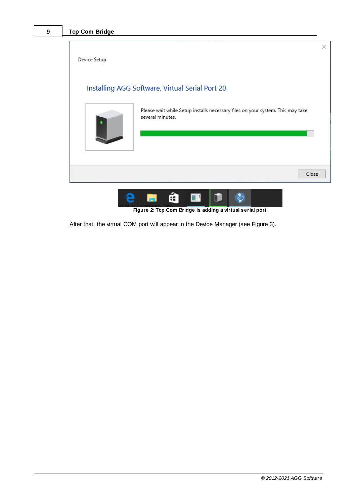



After that, the virtual COM port will appear in the Device Manager (see Figure 3).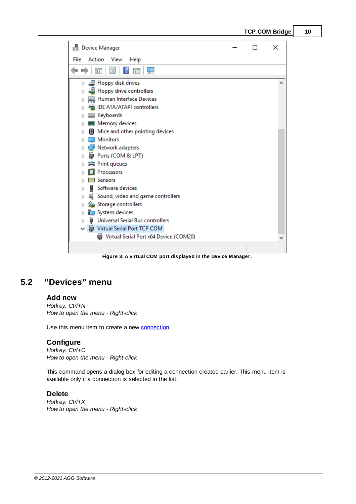

| <b>Device Manager</b>                                                            |  | × |
|----------------------------------------------------------------------------------|--|---|
| File<br>Action<br>View<br>Help                                                   |  |   |
| 로 고<br>$\vert$ ?<br>請<br>圖                                                       |  |   |
| Floppy disk drives<br>Floppy drive controllers                                   |  |   |
| Human Interface Devices<br>IDE ATA/ATAPI controllers<br><b>Keyboards</b>         |  |   |
| <b>WE Memory devices</b><br>Mice and other pointing devices                      |  |   |
| <b>Monitors</b><br>Network adapters<br>Ports (COM & LPT)                         |  |   |
| <b>Print queues</b><br><b>Processors</b><br>$\blacksquare$ Sensors               |  |   |
| Software devices<br>I Sound, video and game controllers                          |  |   |
| Storage controllers<br>System devices<br><b>Universal Serial Bus controllers</b> |  |   |
| Virtual Serial Port TCP COM<br>Virtual Serial Port x64 Device (COM20)<br>₩       |  |   |
|                                                                                  |  |   |

**Figure 3: A virtual COM port displayed in the Device Manager.**

# <span id="page-12-0"></span>**5.2 "Devices" menu**

# **Add new**

*Hotkey: Ctrl+N How to open the menu - Right-click*

Use this menu item to create a new [connection.](#page-14-0)

# **Configure**

*Hotkey: Ctrl+C How to open the menu - Right-click*

This command opens a dialog box for editing a connection created earlier. This menu item is available only if a connection is selected in the list.

# **Delete**

*Hotkey: Ctrl+X How to open the menu - Right-click*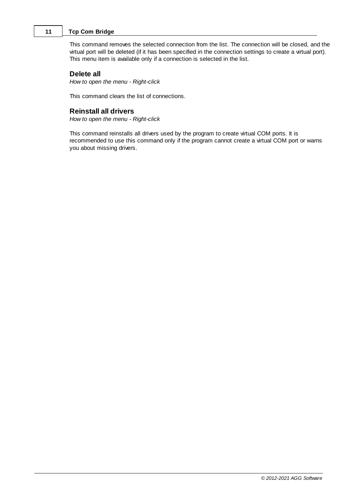This command removes the selected connection from the list. The connection will be closed, and the virtual port will be deleted (if it has been specified in the connection settings to create a virtual port). This menu item is available only if a connection is selected in the list.

## **Delete all**

*How to open the menu - Right-click*

This command clears the list of connections.

# **Reinstall all drivers**

*How to open the menu - Right-click*

This command reinstalls all drivers used by the program to create virtual COM ports. It is recommended to use this command only if the program cannot create a virtual COM port or warns you about missing drivers.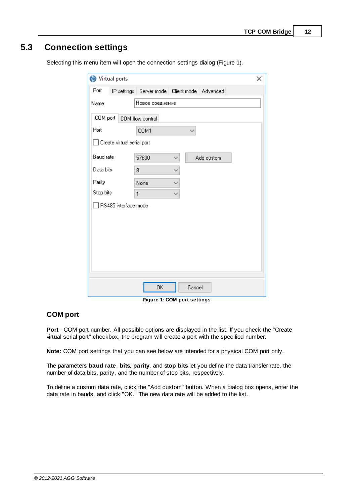# <span id="page-14-0"></span>**5.3 Connection settings**

| Virtual ports                     |                                                    |              |            | × |  |  |
|-----------------------------------|----------------------------------------------------|--------------|------------|---|--|--|
| Port                              | IP settings   Server mode   Client mode   Advanced |              |            |   |  |  |
| Name                              | Новое соедиение                                    |              |            |   |  |  |
| COM port                          | COM flow control                                   |              |            |   |  |  |
| Port                              | COM1                                               | $\checkmark$ |            |   |  |  |
| $\Box$ Create virtual serial port |                                                    |              |            |   |  |  |
| Baud rate                         | 57600                                              |              | Add custom |   |  |  |
| Data bits                         | 8                                                  | ୰            |            |   |  |  |
| Parity                            | None                                               | ୰            |            |   |  |  |
| Stop bits                         | $\mathbf{1}$                                       | $\checkmark$ |            |   |  |  |
| □ RS485 interface mode            |                                                    |              |            |   |  |  |
|                                   |                                                    |              |            |   |  |  |
|                                   |                                                    |              |            |   |  |  |
|                                   |                                                    |              |            |   |  |  |
|                                   |                                                    |              |            |   |  |  |
|                                   |                                                    |              |            |   |  |  |
|                                   |                                                    |              |            |   |  |  |
|                                   | 0K<br>$\lambda$ . $\sim$                           | Cancel       | $\cdots$   |   |  |  |

Selecting this menu item will open the connection settings dialog (Figure 1).

**Figure 1: COM port settings**

# **COM port**

**Port** - COM port number. All possible options are displayed in the list. If you check the "Create virtual serial port" checkbox, the program will create a port with the specified number.

**Note:** COM port settings that you can see below are intended for a physical COM port only.

The parameters **baud rate**, **bits**, **parity**, and **stop bits** let you define the data transfer rate, the number of data bits, parity, and the number of stop bits, respectively.

To define a custom data rate, click the "Add custom" button. When a dialog box opens, enter the data rate in bauds, and click "OK." The new data rate will be added to the list.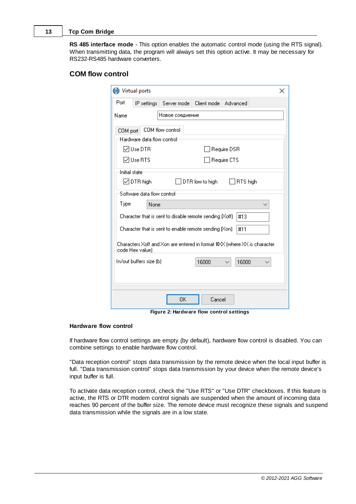**RS 485 interface mode** - This option enables the automatic control mode (using the RTS signal). When transmitting data, the program will always set this option active. It may be necessary for RS232-RS485 hardware converters.

# **COM flow control**

|               | (b) Virtual ports           |                                                                                                                             |                 |                                                                          | x |
|---------------|-----------------------------|-----------------------------------------------------------------------------------------------------------------------------|-----------------|--------------------------------------------------------------------------|---|
| Port          | IP settings                 | Server mode                                                                                                                 | Client mode     | Advanced                                                                 |   |
| Name          |                             | Новое соедиение                                                                                                             |                 |                                                                          |   |
| COM port      | Hardware data flow control: | COM flow control                                                                                                            |                 |                                                                          |   |
|               | MUse DTR                    |                                                                                                                             |                 | Require DSR                                                              |   |
|               | l∽l Use RTS                 |                                                                                                                             |                 | Require CTS                                                              |   |
| Initial state | $\boxdot$ DTR high          |                                                                                                                             | DTR low to high | RTS high                                                                 |   |
|               | Software data flow control: |                                                                                                                             |                 |                                                                          |   |
| Type          | None                        |                                                                                                                             |                 |                                                                          |   |
|               |                             | Character that is sent to disable remote sending $(Xoff)$<br>Character that is sent to enable remote sending $[\text{Xon}]$ |                 | #13<br>#11                                                               |   |
|               | code Hex value)             |                                                                                                                             |                 | Characters Xoff and Xon are entered in format #XX (where XX is character |   |
|               | In/out buffers size (b)     |                                                                                                                             | 16000           | 16000                                                                    |   |
|               |                             |                                                                                                                             |                 |                                                                          |   |
|               |                             | 0K                                                                                                                          | Cancel          |                                                                          |   |

**Figure 2: Hardware flow control settings**

#### **Hardware flow control**

If hardware flow control settings are empty (by default), hardware flow control is disabled. You can combine settings to enable hardware flow control.

"Data reception control" stops data transmission by the remote device when the local input buffer is full. "Data transmission control" stops data transmission by your device when the remote device's input buffer is full.

To activate data reception control, check the "Use RTS" or "Use DTR" checkboxes. If this feature is active, the RTS or DTR modem control signals are suspended when the amount of incoming data reaches 90 percent of the buffer size. The remote device must recognize these signals and suspend data transmission while the signals are in a low state.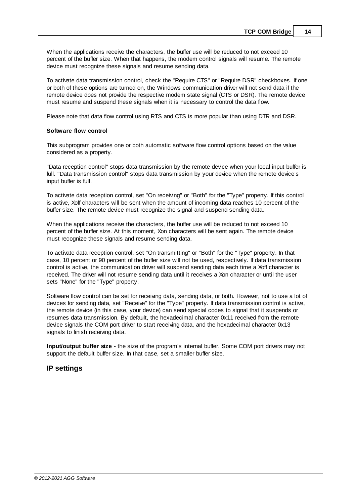When the applications receive the characters, the buffer use will be reduced to not exceed 10 percent of the buffer size. When that happens, the modem control signals will resume. The remote device must recognize these signals and resume sending data.

To activate data transmission control, check the "Require CTS" or "Require DSR" checkboxes. If one or both of these options are turned on, the Windows communication driver will not send data if the remote device does not provide the respective modem state signal (CTS or DSR). The remote device must resume and suspend these signals when it is necessary to control the data flow.

Please note that data flow control using RTS and CTS is more popular than using DTR and DSR.

#### **Software flow control**

This subprogram provides one or both automatic software flow control options based on the value considered as a property.

"Data reception control" stops data transmission by the remote device when your local input buffer is full. "Data transmission control" stops data transmission by your device when the remote device's input buffer is full.

To activate data reception control, set "On receiving" or "Both" for the "Type" property. If this control is active, Xoff characters will be sent when the amount of incoming data reaches 10 percent of the buffer size. The remote device must recognize the signal and suspend sending data.

When the applications receive the characters, the buffer use will be reduced to not exceed 10 percent of the buffer size. At this moment, Xon characters will be sent again. The remote device must recognize these signals and resume sending data.

To activate data reception control, set "On transmitting" or "Both" for the "Type" property. In that case, 10 percent or 90 percent of the buffer size will not be used, respectively. If data transmission control is active, the communication driver will suspend sending data each time a Xoff character is received. The driver will not resume sending data until it receives a Xon character or until the user sets "None" for the "Type" property.

Software flow control can be set for receiving data, sending data, or both. However, not to use a lot of devices for sending data, set "Receive" for the "Type" property. If data transmission control is active, the remote device (in this case, your device) can send special codes to signal that it suspends or resumes data transmission. By default, the hexadecimal character 0x11 received from the remote device signals the COM port driver to start receiving data, and the hexadecimal character 0x13 signals to finish receiving data.

**Input/output buffer size** - the size of the program's internal buffer. Some COM port drivers may not support the default buffer size. In that case, set a smaller buffer size.

# **IP settings**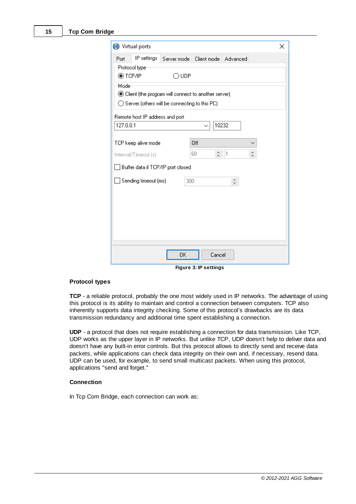| Virtual ports             |                                 |                                                          |                                      |                                                              | × |  |
|---------------------------|---------------------------------|----------------------------------------------------------|--------------------------------------|--------------------------------------------------------------|---|--|
| Port                      | IP settings                     |                                                          | Server mode   Client mode   Advanced |                                                              |   |  |
| Protocol type:<br>tCP/IP® |                                 | ⊙∪DP                                                     |                                      |                                                              |   |  |
| Mode                      |                                 |                                                          |                                      |                                                              |   |  |
|                           |                                 | ◉ Client (the program will connect to another server)    |                                      |                                                              |   |  |
|                           |                                 | $\bigcirc$ Server (others will be connecting to this PC) |                                      |                                                              |   |  |
|                           | Remote host IP address and port |                                                          |                                      |                                                              |   |  |
| 127.0.0.1                 |                                 |                                                          | 10232<br>$\checkmark$                |                                                              |   |  |
|                           | TCP keep alive mode             |                                                          | Off                                  |                                                              |   |  |
|                           | Interval/Timeout (s)            |                                                          | ÷۱<br>60                             | $\blacktriangle$<br>$\mathbf{1}$<br>$\overline{\phantom{a}}$ |   |  |
|                           |                                 | Buffer data if TCP/IP port closed                        |                                      |                                                              |   |  |
|                           | $\Box$ Sending timeout (ms)     | 300                                                      |                                      | $\blacktriangle$<br>$\overline{\mathbf{v}}$                  |   |  |
|                           |                                 |                                                          |                                      |                                                              |   |  |
|                           |                                 |                                                          |                                      |                                                              |   |  |
|                           |                                 |                                                          |                                      |                                                              |   |  |
|                           |                                 |                                                          |                                      |                                                              |   |  |
|                           |                                 |                                                          |                                      |                                                              |   |  |
|                           |                                 |                                                          |                                      |                                                              |   |  |
|                           |                                 | 0K                                                       | Cancel                               |                                                              |   |  |

**Figure 3: IP settings**

## **Protocol types**

TCP - a reliable protocol, probably the one most widely used in IP networks. The advantage of using this protocol is its ability to maintain and control a connection between computers. TCP also inherently supports data integrity checking. Some of this protocol's drawbacks are its data transmission redundancy and additional time spent establishing a connection.

**UDP** - a protocol that does not require establishing a connection for data transmission. Like TCP, UDP works as the upper layer in IP networks. But unlike TCP, UDP doesn't help to deliver data and doesn't have any built-in error controls. But this protocol allows to directly send and receive data packets, while applications can check data integrity on their own and, if necessary, resend data. UDP can be used, for example, to send small multicast packets. When using this protocol, applications "send and forget."

#### **Connection**

In Tcp Com Bridge, each connection can work as: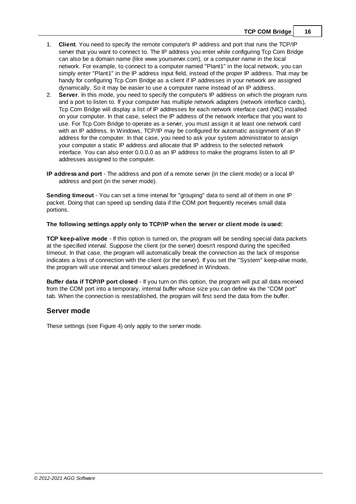- 1. **Client**. You need to specify the remote computer's IP address and port that runs the TCP/IP server that you want to connect to. The IP address you enter while configuring Tcp Com Bridge can also be a domain name (like www.yourserver.com), or a computer name in the local network. For example, to connect to a computer named "Plant1" in the local network, you can simply enter "Plant1" in the IP address input field, instead of the proper IP address. That may be handy for configuring Tcp Com Bridge as a client if IP addresses in your network are assigned dynamically. So it may be easier to use a computer name instead of an IP address.
- 2. **Server**. In this mode, you need to specify the computer's IP address on which the program runs and a port to listen to. If your computer has multiple network adapters (network interface cards), Tcp Com Bridge will display a list of IP addresses for each network interface card (NIC) installed on your computer. In that case, select the IP address of the network interface that you want to use. For Tcp Com Bridge to operate as a server, you must assign it at least one network card with an IP address. In Windows, TCP/IP may be configured for automatic assignment of an IP address for the computer. In that case, you need to ask your system administrator to assign your computer a static IP address and allocate that IP address to the selected network interface. You can also enter 0.0.0.0 as an IP address to make the programs listen to all IP addresses assigned to the computer.
- **IP address and port** The address and port of a remote server (in the client mode) or a local IP address and port (in the server mode).

**Sending timeout** - You can set a time interval for "grouping" data to send all of them in one IP packet. Doing that can speed up sending data if the COM port frequently receives small data portions.

#### **The following settings apply only to TCP/IP when the server or client mode is used:**

**TCP keep-alive mode** - If this option is turned on, the program will be sending special data packets at the specified interval. Suppose the client (or the server) doesn't respond during the specified timeout. In that case, the program will automatically break the connection as the lack of response indicates a loss of connection with the client (or the server). If you set the "System" keep-alive mode, the program will use interval and timeout values predefined in Windows.

**Buffer data if TCP/IP port closed** - If you turn on this option, the program will put all data received from the COM port into a temporary, internal buffer whose size you can define via the "COM port" tab. When the connection is reestablished, the program will first send the data from the buffer.

## **Server mode**

These settings (see Figure 4) only apply to the server mode.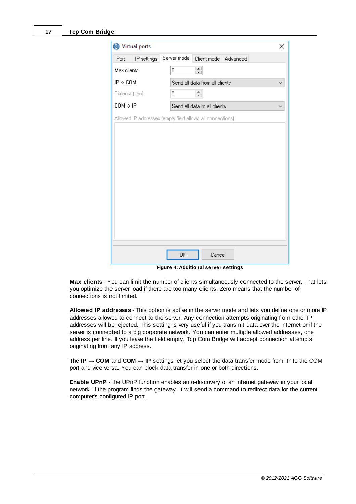| Virtual ports        |                                                           | × |
|----------------------|-----------------------------------------------------------|---|
| IP settings<br>Port  | Server mode<br>Client mode<br>Advanced                    |   |
| Max clients          | $\equiv$<br>0                                             |   |
| $IP \rightarrow COM$ | Send all data from all clients                            |   |
| Timeout (sec)        | $\div$<br>5                                               |   |
| $COM \rightarrow IP$ | Send all data to all clients                              |   |
|                      | Allowed IP addresses (empty field allows all connections) |   |
|                      |                                                           |   |
|                      |                                                           |   |
|                      |                                                           |   |
|                      |                                                           |   |
|                      |                                                           |   |
|                      |                                                           |   |
|                      |                                                           |   |
|                      |                                                           |   |
|                      |                                                           |   |
|                      |                                                           |   |
|                      |                                                           |   |
|                      | 0K<br>Cancel                                              |   |

**Figure 4: Additional server settings**

**Max clients** - You can limit the number of clients simultaneously connected to the server. That lets you optimize the server load if there are too many clients. Zero means that the number of connections is not limited.

**Allowed IP addresses** - This option is active in the server mode and lets you define one or more IP addresses allowed to connect to the server. Any connection attempts originating from other IP addresses will be rejected. This setting is very useful if you transmit data over the Internet or if the server is connected to a big corporate network. You can enter multiple allowed addresses, one address per line. If you leave the field empty, Tcp Com Bridge will accept connection attempts originating from any IP address.

The **IP**  $\rightarrow$  **COM** and **COM**  $\rightarrow$  **IP** settings let you select the data transfer mode from IP to the COM port and vice versa. You can block data transfer in one or both directions.

**Enable UPnP** - the UPnP function enables auto-discovery of an internet gateway in your local network. If the program finds the gateway, it will send a command to redirect data for the current computer's configured IP port.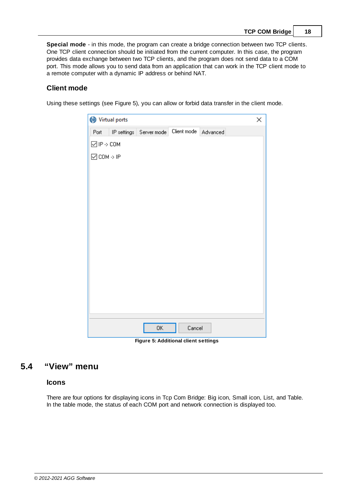|  |  | TCP COM Bridge | 18 |
|--|--|----------------|----|
|--|--|----------------|----|

**Special mode** - in this mode, the program can create a bridge connection between two TCP clients. One TCP client connection should be initiated from the current computer. In this case, the program provides data exchange between two TCP clients, and the program does not send data to a COM port. This mode allows you to send data from an application that can work in the TCP client mode to a remote computer with a dynamic IP address or behind NAT.

# **Client mode**

Using these settings (see Figure 5), you can allow or forbid data transfer in the client mode.

| Virtual ports<br>×          |                                      |             |          |  |  |  |
|-----------------------------|--------------------------------------|-------------|----------|--|--|--|
| Port                        | IP settings Server mode              | Client mode | Advanced |  |  |  |
| $\Box$ IP $\rightarrow$ COM |                                      |             |          |  |  |  |
| $\Box$ COM $\rightarrow$ IP |                                      |             |          |  |  |  |
|                             |                                      |             |          |  |  |  |
|                             |                                      |             |          |  |  |  |
|                             |                                      |             |          |  |  |  |
|                             |                                      |             |          |  |  |  |
|                             |                                      |             |          |  |  |  |
|                             |                                      |             |          |  |  |  |
|                             |                                      |             |          |  |  |  |
|                             |                                      |             |          |  |  |  |
|                             |                                      |             |          |  |  |  |
|                             |                                      |             |          |  |  |  |
|                             |                                      |             |          |  |  |  |
|                             |                                      |             |          |  |  |  |
|                             |                                      |             |          |  |  |  |
|                             | 0K                                   | Cancel      |          |  |  |  |
|                             | Figure 5: Additional client settings |             |          |  |  |  |

**Figure 5: Additional client settings**

# <span id="page-20-0"></span>**5.4 "View" menu**

## **Icons**

There are four options for displaying icons in Tcp Com Bridge: Big icon, Small icon, List, and Table. In the table mode, the status of each COM port and network connection is displayed too.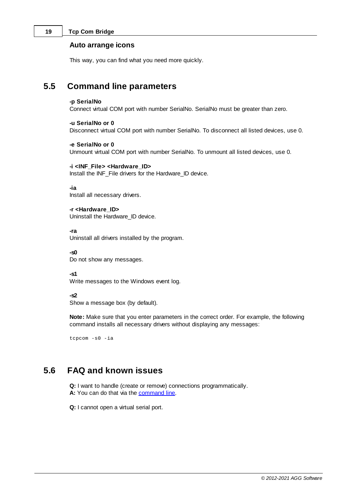## **Auto arrange icons**

This way, you can find what you need more quickly.

# <span id="page-21-0"></span>**5.5 Command line parameters**

#### **-p SerialNo**

Connect virtual COM port with number SerialNo. SerialNo must be greater than zero.

#### **-u SerialNo or 0**

Disconnect virtual COM port with number SerialNo. To disconnect all listed devices, use 0.

## **-e SerialNo or 0**

Unmount virtual COM port with number SerialNo. To unmount all listed devices, use 0.

## **-i <INF\_File> <Hardware\_ID>**

Install the INF\_File drivers for the Hardware\_ID device.

**-ia**

Install all necessary drivers.

**-r <Hardware\_ID>** Uninstall the Hardware\_ID device.

**-ra**

Uninstall all drivers installed by the program.

**-s0** Do not show any messages.

**-s1**

Write messages to the Windows event log.

#### **-s2**

Show a message box (by default).

**Note:** Make sure that you enter parameters in the correct order. For example, the following command installs all necessary drivers without displaying any messages:

tcpcom -s0 -ia

# <span id="page-21-1"></span>**5.6 FAQ and known issues**

**Q:** I want to handle (create or remove) connections programmatically. A: You can do that via the **[command](#page-21-0) line**.

**Q:** I cannot open a virtual serial port.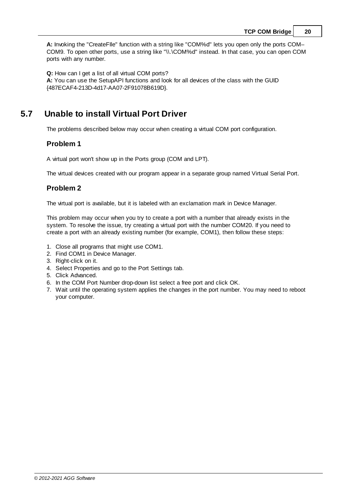**A:** Invoking the "CreateFIle" function with a string like "COM%d" lets you open only the ports COM– COM9. To open other ports, use a string like "\\.\COM%d" instead. In that case, you can open COM ports with any number.

**Q:** How can I get a list of all virtual COM ports? **A:** You can use the SetupAPI functions and look for all devices of the class with the GUID {487ECAF4-213D-4d17-AA07-2F91078B619D}.

# <span id="page-22-0"></span>**5.7 Unable to install Virtual Port Driver**

The problems described below may occur when creating a virtual COM port configuration.

# **Problem 1**

A virtual port won't show up in the Ports group (COM and LPT).

The virtual devices created with our program appear in a separate group named Virtual Serial Port.

# **Problem 2**

The virtual port is available, but it is labeled with an exclamation mark in Device Manager.

This problem may occur when you try to create a port with a number that already exists in the system. To resolve the issue, try creating a virtual port with the number COM20. If you need to create a port with an already existing number (for example, COM1), then follow these steps:

- 1. Close all programs that might use COM1.
- 2. Find COM1 in Device Manager.
- 3. Right-click on it.
- 4. Select Properties and go to the Port Settings tab.
- 5. Click Advanced.
- 6. In the COM Port Number drop-down list select a free port and click OK.
- 7. Wait until the operating system applies the changes in the port number. You may need to reboot your computer.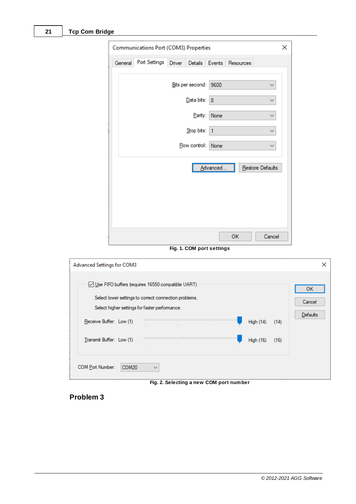| Communications Port (COM3) Properties                    | × |
|----------------------------------------------------------|---|
| Port Settings Driver Details Events Resources<br>General |   |
| Bits per second: 9600<br>v                               |   |
| Data bits:   8                                           |   |
| Parity: None                                             |   |
| Stop bits: 1                                             |   |
| Flow control: None                                       |   |
| Restore Defaults<br>Advanced                             |   |
| Cancel<br>OK                                             |   |

**Fig. 1. COM port settings**

| <b>Advanced Settings for COM3</b>                                                                                                                                                                                   |                   |                                             |  |                                      |              | ×                               |
|---------------------------------------------------------------------------------------------------------------------------------------------------------------------------------------------------------------------|-------------------|---------------------------------------------|--|--------------------------------------|--------------|---------------------------------|
| Use FIFO buffers (requires 16550 compatible UART)<br>Select lower settings to correct connection problems.<br>Select higher settings for faster performance.<br>Receive Buffer: Low (1)<br>Transmit Buffer: Low (1) |                   | <b>Contract</b><br>$\sqrt{1 - \frac{1}{2}}$ |  | <b>High (14)</b><br><b>High (16)</b> | (14)<br>(16) | <b>OK</b><br>Cancel<br>Defaults |
| COM Port Number:<br>COM <sub>20</sub>                                                                                                                                                                               | $\checkmark$<br>- |                                             |  |                                      |              |                                 |

**Fig. 2. Selecting a new COM port number**

# **Problem 3**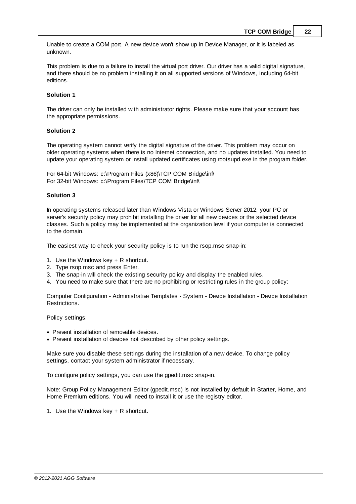Unable to create a COM port. A new device won't show up in Device Manager, or it is labeled as unknown.

This problem is due to a failure to install the virtual port driver. Our driver has a valid digital signature, and there should be no problem installing it on all supported versions of Windows, including 64-bit editions.

## **Solution 1**

The driver can only be installed with administrator rights. Please make sure that your account has the appropriate permissions.

#### **Solution 2**

The operating system cannot verify the digital signature of the driver. This problem may occur on older operating systems when there is no Internet connection, and no updates installed. You need to update your operating system or install updated certificates using rootsupd.exe in the program folder.

For 64-bit Windows: c:\Program Files (x86)\TCP COM Bridge\inf\ For 32-bit Windows: c:\Program Files\TCP COM Bridge\inf\

## **Solution 3**

In operating systems released later than Windows Vista or Windows Server 2012, your PC or server's security policy may prohibit installing the driver for all new devices or the selected device classes. Such a policy may be implemented at the organization level if your computer is connected to the domain.

The easiest way to check your security policy is to run the rsop.msc snap-in:

- 1. Use the Windows key + R shortcut.
- 2. Type rsop.msc and press Enter.
- 3. The snap-in will check the existing security policy and display the enabled rules.
- 4. You need to make sure that there are no prohibiting or restricting rules in the group policy:

Computer Configuration - Administrative Templates - System - Device Installation - Device Installation Restrictions.

Policy settings:

- · Prevent installation of removable devices.
- Prevent installation of devices not described by other policy settings.

Make sure you disable these settings during the installation of a new device. To change policy settings, contact your system administrator if necessary.

To configure policy settings, you can use the gpedit.msc snap-in.

Note: Group Policy Management Editor (gpedit.msc) is not installed by default in Starter, Home, and Home Premium editions. You will need to install it or use the registry editor.

1. Use the Windows key + R shortcut.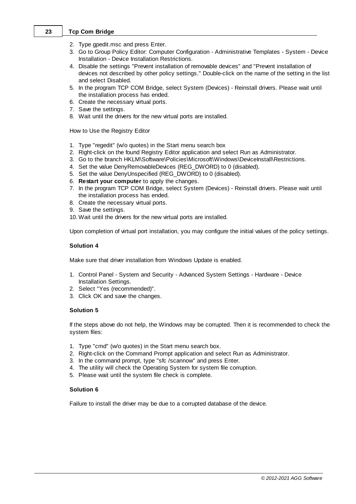- 2. Type gpedit.msc and press Enter.
- 3. Go to Group Policy Editor: Computer Configuration Administrative Templates System Device Installation - Device Installation Restrictions.
- 4. Disable the settings "Prevent installation of removable devices" and "Prevent installation of devices not described by other policy settings." Double-click on the name of the setting in the list and select Disabled.
- 5. In the program TCP COM Bridge, select System (Devices) Reinstall drivers. Please wait until the installation process has ended.
- 6. Create the necessary virtual ports.
- 7. Save the settings.
- 8. Wait until the drivers for the new virtual ports are installed.

How to Use the Registry Editor

- 1. Type "regedit" (w/o quotes) in the Start menu search box
- 2. Right-click on the found Registry Editor application and select Run as Administrator.
- 3. Go to the branch HKLM\Software\Policies\Microsoft\Windows\DeviceInstall\Restrictions.
- 4. Set the value DenyRemovableDevices (REG\_DWORD) to 0 (disabled).
- 5. Set the value DenyUnspecified (REG\_DWORD) to 0 (disabled).
- 6. **Restart your computer** to apply the changes.
- 7. In the program TCP COM Bridge, select System (Devices) Reinstall drivers. Please wait until the installation process has ended.
- 8. Create the necessary virtual ports.
- 9. Save the settings.
- 10. Wait until the drivers for the new virtual ports are installed.

Upon completion of virtual port installation, you may configure the initial values of the policy settings.

## **Solution 4**

Make sure that driver installation from Windows Update is enabled.

- 1. Control Panel System and Security Advanced System Settings Hardware Device Installation Settings.
- 2. Select "Yes (recommended)".
- 3. Click OK and save the changes.

## **Solution 5**

If the steps above do not help, the Windows may be corrupted. Then it is recommended to check the system files:

- 1. Type "cmd" (w/o quotes) in the Start menu search box.
- 2. Right-click on the Command Prompt application and select Run as Administrator.
- 3. In the command prompt, type "sfc /scannow" and press Enter.
- 4. The utility will check the Operating System for system file corruption.
- 5. Please wait until the system file check is complete.

## **Solution 6**

Failure to install the driver may be due to a corrupted database of the device.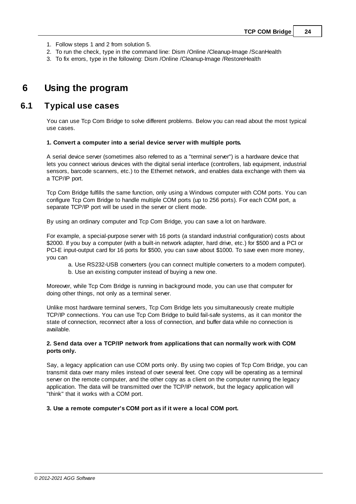- 1. Follow steps 1 and 2 from solution 5.
- 2. To run the check, type in the command line: Dism /Online /Cleanup-Image /ScanHealth
- 3. To fix errors, type in the following: Dism /Online /Cleanup-Image /RestoreHealth

# <span id="page-26-0"></span>**6 Using the program**

# **6.1 Typical use cases**

You can use Tcp Com Bridge to solve different problems. Below you can read about the most typical use cases.

#### **1. Convert a computer into a serial device server with multiple ports.**

A serial device server (sometimes also referred to as a "terminal server") is a hardware device that lets you connect various devices with the digital serial interface (controllers, lab equipment, industrial sensors, barcode scanners, etc.) to the Ethernet network, and enables data exchange with them via a TCP/IP port.

Tcp Com Bridge fulfills the same function, only using a Windows computer with COM ports. You can configure Tcp Com Bridge to handle multiple COM ports (up to 256 ports). For each COM port, a separate TCP/IP port will be used in the server or client mode.

By using an ordinary computer and Tcp Com Bridge, you can save a lot on hardware.

For example, a special-purpose server with 16 ports (a standard industrial configuration) costs about \$2000. If you buy a computer (with a built-in network adapter, hard drive, etc.) for \$500 and a PCI or PCI-E input-output card for 16 ports for \$500, you can save about \$1000. To save even more money, you can

- a. Use RS232-USB converters (you can connect multiple converters to a modern computer).
- b. Use an existing computer instead of buying a new one.

Moreover, while Tcp Com Bridge is running in background mode, you can use that computer for doing other things, not only as a terminal server.

Unlike most hardware terminal servers, Tcp Com Bridge lets you simultaneously create multiple TCP/IP connections. You can use Tcp Com Bridge to build fail-safe systems, as it can monitor the state of connection, reconnect after a loss of connection, and buffer data while no connection is available.

## **2. Send data over a TCP/IP network from applications that can normally work with COM ports only.**

Say, a legacy application can use COM ports only. By using two copies of Tcp Com Bridge, you can transmit data over many miles instead of over several feet. One copy will be operating as a terminal server on the remote computer, and the other copy as a client on the computer running the legacy application. The data will be transmitted over the TCP/IP network, but the legacy application will "think" that it works with a COM port.

#### **3. Use a remote computer's COM port as if it were a local COM port.**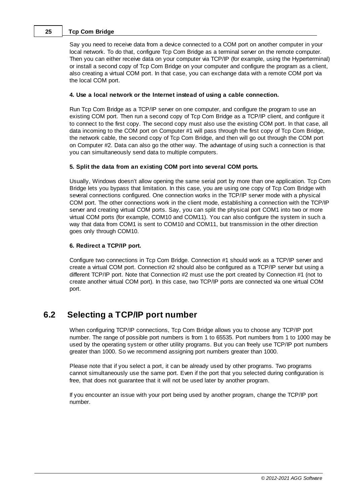Say you need to receive data from a device connected to a COM port on another computer in your local network. To do that, configure Tcp Com Bridge as a terminal server on the remote computer. Then you can either receive data on your computer via TCP/IP (for example, using the Hyperterminal) or install a second copy of Tcp Com Bridge on your computer and configure the program as a client, also creating a virtual COM port. In that case, you can exchange data with a remote COM port via the local COM port.

## **4. Use a local network or the Internet instead of using a cable connection.**

Run Tcp Com Bridge as a TCP/IP server on one computer, and configure the program to use an existing COM port. Then run a second copy of Tcp Com Bridge as a TCP/IP client, and configure it to connect to the first copy. The second copy must also use the existing COM port. In that case, all data incoming to the COM port on Computer #1 will pass through the first copy of Tcp Com Bridge, the network cable, the second copy of Tcp Com Bridge, and then will go out through the COM port on Computer #2. Data can also go the other way. The advantage of using such a connection is that you can simultaneously send data to multiple computers.

## **5. Split the data from an existing COM port into several COM ports.**

Usually, Windows doesn't allow opening the same serial port by more than one application. Tcp Com Bridge lets you bypass that limitation. In this case, you are using one copy of Tcp Com Bridge with several connections configured. One connection works in the TCP/IP server mode with a physical COM port. The other connections work in the client mode, establishing a connection with the TCP/IP server and creating virtual COM ports. Say, you can split the physical port COM1 into two or more virtual COM ports (for example, COM10 and COM11). You can also configure the system in such a way that data from COM1 is sent to COM10 and COM11, but transmission in the other direction goes only through COM10.

## **6. Redirect a TCP/IP port.**

Configure two connections in Tcp Com Bridge. Connection #1 should work as a TCP/IP server and create a virtual COM port. Connection #2 should also be configured as a TCP/IP server but using a different TCP/IP port. Note that Connection #2 must use the port created by Connection #1 (not to create another virtual COM port). In this case, two TCP/IP ports are connected via one virtual COM port.

# <span id="page-27-0"></span>**6.2 Selecting a TCP/IP port number**

When configuring TCP/IP connections, Tcp Com Bridge allows you to choose any TCP/IP port number. The range of possible port numbers is from 1 to 65535. Port numbers from 1 to 1000 may be used by the operating system or other utility programs. But you can freely use TCP/IP port numbers greater than 1000. So we recommend assigning port numbers greater than 1000.

Please note that if you select a port, it can be already used by other programs. Two programs cannot simultaneously use the same port. Even if the port that you selected during configuration is free, that does not guarantee that it will not be used later by another program.

If you encounter an issue with your port being used by another program, change the TCP/IP port number.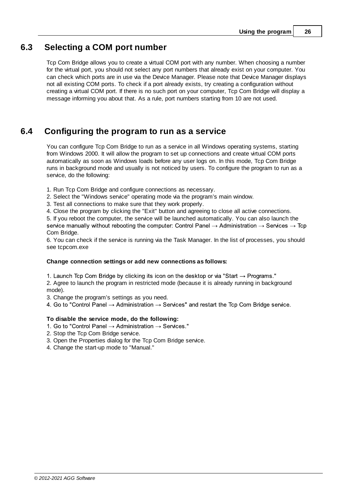# <span id="page-28-0"></span>**6.3 Selecting a COM port number**

Tcp Com Bridge allows you to create a virtual COM port with any number. When choosing a number for the virtual port, you should not select any port numbers that already exist on your computer. You can check which ports are in use via the Device Manager. Please note that Device Manager displays not all existing COM ports. To check if a port already exists, try creating a configuration without creating a virtual COM port. If there is no such port on your computer, Tcp Com Bridge will display a message informing you about that. As a rule, port numbers starting from 10 are not used.

# <span id="page-28-1"></span>**6.4 Configuring the program to run as a service**

You can configure Tcp Com Bridge to run as a service in all Windows operating systems, starting from Windows 2000. It will allow the program to set up connections and create virtual COM ports automatically as soon as Windows loads before any user logs on. In this mode, Tcp Com Bridge runs in background mode and usually is not noticed by users. To configure the program to run as a service, do the following:

1. Run Tcp Com Bridge and configure connections as necessary.

2. Select the "Windows service" operating mode via the program's main window.

3. Test all connections to make sure that they work properly.

4. Close the program by clicking the "Exit" button and agreeing to close all active connections.

5. If you reboot the computer, the service will be launched automatically. You can also launch the service manually without rebooting the computer: Control Panel  $\rightarrow$  Administration  $\rightarrow$  Services  $\rightarrow$  Tcp Com Bridge.

6. You can check if the service is running via the Task Manager. In the list of processes, you should see tcpcom.exe

#### **Change connection settings or add new connections as follows:**

1. Launch Tcp Com Bridge by clicking its icon on the desktop or via "Start  $\rightarrow$  Programs."

2. Agree to launch the program in restricted mode (because it is already running in background mode).

3. Change the program's settings as you need.

4. Go to "Control Panel  $\rightarrow$  Administration  $\rightarrow$  Services" and restart the Tcp Com Bridge service.

## **To disable the service mode, do the following:**

- 1. Go to "Control Panel  $\rightarrow$  Administration  $\rightarrow$  Services."
- 2. Stop the Tcp Com Bridge service.
- 3. Open the Properties dialog for the Tcp Com Bridge service.
- 4. Change the start-up mode to "Manual."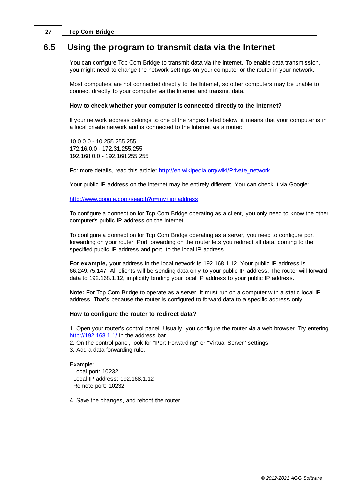# <span id="page-29-0"></span>**6.5 Using the program to transmit data via the Internet**

You can configure Tcp Com Bridge to transmit data via the Internet. To enable data transmission, you might need to change the network settings on your computer or the router in your network.

Most computers are not connected directly to the Internet, so other computers may be unable to connect directly to your computer via the Internet and transmit data.

#### **How to check whether your computer is connected directly to the Internet?**

If your network address belongs to one of the ranges listed below, it means that your computer is in a local private network and is connected to the Internet via a router:

10.0.0.0 - 10.255.255.255 172.16.0.0 - 172.31.255.255 192.168.0.0 - 192.168.255.255

For more details, read this article: [http://en.wikipedia.org/wiki/Private\\_network](http://en.wikipedia.org/wiki/Private_network)

Your public IP address on the Internet may be entirely different. You can check it via Google:

<http://www.google.com/search?q=my+ip+address>

To configure a connection for Tcp Com Bridge operating as a client, you only need to know the other computer's public IP address on the Internet.

To configure a connection for Tcp Com Bridge operating as a server, you need to configure port forwarding on your router. Port forwarding on the router lets you redirect all data, coming to the specified public IP address and port, to the local IP address.

**For example,** your address in the local network is 192.168.1.12. Your public IP address is 66.249.75.147. All clients will be sending data only to your public IP address. The router will forward data to 192.168.1.12, implicitly binding your local IP address to your public IP address.

**Note:** For Tcp Com Bridge to operate as a server, it must run on a computer with a static local IP address. That's because the router is configured to forward data to a specific address only.

#### **How to configure the router to redirect data?**

1. Open your router's control panel. Usually, you configure the router via a web browser. Try entering <http://192.168.1.1/> in the address bar.

2. On the control panel, look for "Port Forwarding" or "Virtual Server" settings.

3. Add a data forwarding rule.

Example: Local port: 10232 Local IP address: 192.168.1.12 Remote port: 10232

4. Save the changes, and reboot the router.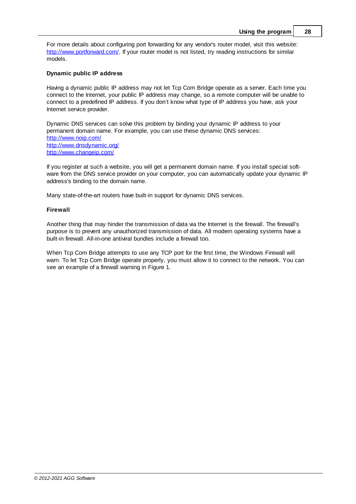For more details about configuring port forwarding for any vendor's router model, visit this website: [http://www.portforward.com/.](http://www.portforward.com/) If your router model is not listed, try reading instructions for similar models.

## **Dynamic public IP address**

Having a dynamic public IP address may not let Tcp Com Bridge operate as a server. Each time you connect to the Internet, your public IP address may change, so a remote computer will be unable to connect to a predefined IP address. If you don't know what type of IP address you have, ask your Internet service provider.

Dynamic DNS services can solve this problem by binding your dynamic IP address to your permanent domain name. For example, you can use these dynamic DNS services: <http://www.noip.com/> <http://www.dnsdynamic.org/> <http://www.changeip.com/>

If you register at such a website, you will get a permanent domain name. If you install special software from the DNS service provider on your computer, you can automatically update your dynamic IP address's binding to the domain name.

Many state-of-the-art routers have built-in support for dynamic DNS services.

## **Firewall**

Another thing that may hinder the transmission of data via the Internet is the firewall. The firewall's purpose is to prevent any unauthorized transmission of data. All modern operating systems have a built-in firewall. All-in-one antiviral bundles include a firewall too.

When Tcp Com Bridge attempts to use any TCP port for the first time, the Windows Firewall will warn. To let Tcp Com Bridge operate properly, you must allow it to connect to the network. You can see an example of a firewall warning in Figure 1.